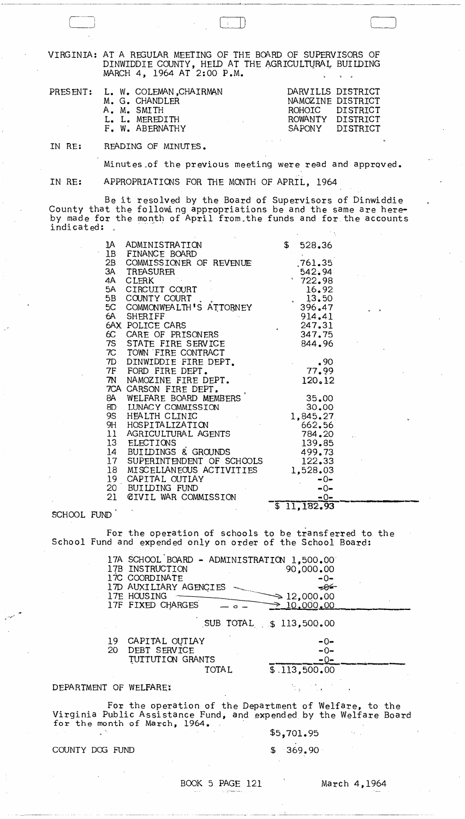VIRGINIA: AT A REGULAR MEETING OF THE BOARD OF SUPERVISORS OF DINWIDDIE COUNTY, HELD AT THE AGRICULTURAL BUILDING MARCH 4, 1964 AT 2:00 P.M.

| PRESENT: L. W. COLEMAN, CHAIRMAN<br>M. G. CHANDLER<br>A. M. SMITH<br>L. L. MEREDITH<br>$\mathcal{L}^{\mathcal{L}}$ and $\mathcal{L}^{\mathcal{L}}$ and $\mathcal{L}^{\mathcal{L}}$ and $\mathcal{L}^{\mathcal{L}}$ and $\mathcal{L}^{\mathcal{L}}$<br>F. W. ABERNATHY | DARVILLS DISTRICT<br>NAMOZINE DISTRICT<br>ROHOIC DISTRICT<br>ROWANTY DISTRICT<br>SAPONY DISTRICT |
|-----------------------------------------------------------------------------------------------------------------------------------------------------------------------------------------------------------------------------------------------------------------------|--------------------------------------------------------------------------------------------------|
|                                                                                                                                                                                                                                                                       |                                                                                                  |

IN RE: READING OF MINUTES.

C-j [~

Minutes of the previous meeting were read and approved.

IN RE: APPROPRIATIONS FOR THE MONTH OF APRIL, 1964

Be it resolved by the Board of Supervisors of Dinwiddie County that the following appropriations be and the same are hereby made for the month of April from. the funds and for the accounts indicated:

| 1A<br>ADMINISTRATION<br>1B<br>FINANCE BOARD  | $\mathbb S$<br>528.36  |
|----------------------------------------------|------------------------|
| 2B<br>COMMISSIONER OF REVENUE                | .761.35                |
| 3A<br>TREASURER                              | 542.94                 |
| 4A<br><b>CLERK</b>                           | 1722.98                |
| CIRCUIT COURT<br>5A                          | 16.92                  |
| 5B<br>COUNTY COURT.                          | 13.50                  |
| 5C COMMONWEALTH'S ATTORNEY                   | 396.47                 |
| 6A SHERIFF                                   | 914.41                 |
| 6AX POLICE CARS                              | 247.31                 |
| 6C CARE OF PRISONERS                         | 347.75                 |
| 7S STATE FIRE SERVICE                        | 844.96                 |
| 7C TOWN FIRE CONTRACT                        |                        |
| DINWIDDIE FIRE DEPT.<br>7D                   | .90                    |
| 7F FORD FIRE DEPT.                           | 77.99                  |
| 7N<br>NAMOZINE FIRE DEPT.                    | 120.12                 |
| 7CA CARSON FIRE DEPT.                        |                        |
| WELFARE BOARD MEMBERS<br>8A                  | 35.00                  |
| 8D LUNACY COMMISSION                         | 30,00                  |
| 9S<br>HËALTH CLINIC                          | 1,845,27               |
| 9H HOSPITALIZATION                           | 662.56                 |
| 11 AGRICULTURAL AGENTS                       | 784.20                 |
| 13 ELECTIONS                                 | 139.85                 |
| 14<br>BUILDINGS & GROUNDS                    | 499.73                 |
| SUPERINTENDENT OF SCHOOLS<br>17 <sup>7</sup> | 122.33                 |
| 18<br>MISCELLANEOUS ACTIVITIES               | 1,528.03               |
| 19 CAPITAL OUTLAY                            | $-0-$                  |
| 20<br>BUILDING FUND                          | $-0-$                  |
| <b>CIVIL WAR COMMISSION</b><br>21            | $-0-$                  |
| $\bullet$<br>$\mathbf{L}_\mathrm{c}$         | $\overline{11,182,93}$ |

SCHOOL FUND

School For the operation of schools to be transferred to the Fund and expended only on order of the School Board:

17A SCHOOL BOARD - ADMINISTRATION 1,500.00<br>17B INSTRUCTION 90,000.00 17B INSTRUCTION 17C COORDINATE -0-17D AUXILIARY AGENCIES<br>17E HOUSING<br>12,000.00 17E HOUSING  $\longrightarrow$  12,000.00<br>17F FIXED CHARGES  $\longrightarrow$  0.000,00 SUB TOTAL  $$113,500.00$ 19 CAPITAL OUTLAY<br>20 DEBT SERVICE DEBT SERVICE rUITUTION GRANTS TOTAL -0- -0-<br>-0- $\overline{\$}.113,500.00$ 

## DEPARTMENT OF WELFARE:

For the operation of the Department of Welfare, to the Virginia Public Assistance Fund, and expended by the Welfare Board for the month of March, 1964.

\$5,701.95

n.

COUNTY DOG FUND \$ 369.90

BOOK 5 PAGE 121 March 4, 1964

.. \_ ..... \_- -\_ ... ------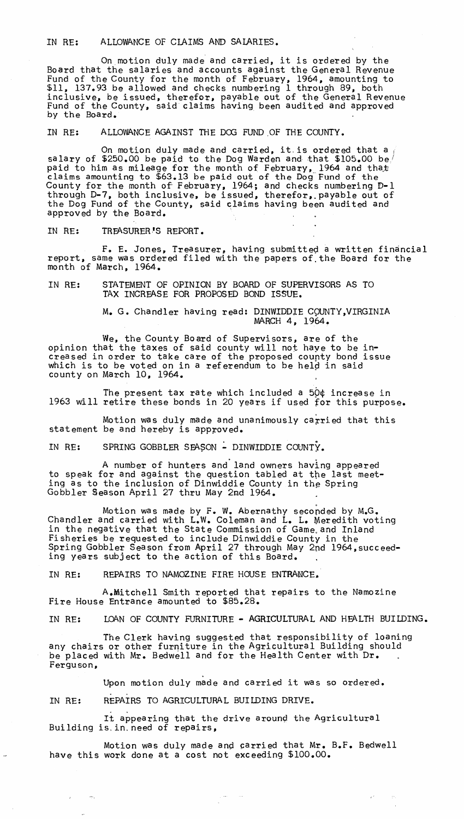## IN RE: ALLOWANCE OF CLAIMS AND SALARIES.

On motion duly made and carried, it is ordered by the Board that the salaries and accounts against the General Revenue Fund of the County for the month of February, 1964, amounting to \$11, 137.93 be allowed and checks numbering 1 through 89, both inclusive, be issued, therefor, payable out of the General Revenue Fund of the County, said claims having been audited and approved by the Board. .

IN RE: ALLOWANCE AGAINST THE DOO FUND ,OF THE COUNTY.

On motion duly made and carried, it is ordered that a  $\frac{1}{2}$ salary of \$250.00 be paid to the Dog Warden and that \$105.00 be/ paid to him as mileage for the month of February, 1964 and that claims amounting to \$63.13 be paid out of the Dog-Fund of the County for the month of February, 1964; and checks numbering D-l through D-7, both inclusive, be issued, therefor,. payable out of the Dog Fund of the County, said claims having been audited and approved by the Board.

IN RE: TREASURER'S REPORT.

F. E. Jones, Treasurer, having submitted a written financial report, same was ordered filed with the papers of. the Board for the month of March, 1964.

## IN RE: STATEMENT OF OPINION BY BOARD OF SUPERVISORS AS TO TAX INCREASE FOR PROPOSED BOND ISSUE.

M. G. Chandler having read: DINWIDDIE COUNTY,VIRGINIA MARCH 4, 1964.

We, the County Board of Supervisors, are of the opinion that the taxes of said county will not haye to be increased in order to take care of the proposed coupty bond issue which is to be voted on in a referendum to be held in said county on March 10, 1964. .

The present tax rate which included a 50¢ increase in 1963 will retire these bonds in 20 years if used for this purpose.

Motion was duly made and unanimously carried that this statement be and hereby is approved.

IN RE: SPRING GOBBLER SEASON - DINWIDDIE COUNTY.

A number of hunters and' land owners having appeared to speak for and against the question tabled at the last meeting as to the inclusion of Dinwiddie County in the Spring Gobbler Season April 27 thru May 2nd 1964.

Motion was made by F. W. Abernathy seconded by M.G. Chandler and carried with L.W. Coleman and L. L. Meredith voting in the negative that the State Commission of Game. and Inland Fisheries be requested to include Dinwiddie County in the Spring Gobbler Season from April 27 through May 2nd 1964, succeeding years subject to the action of this Board.

IN RE: REPAIRS TO NAMOZINE FIRE HOUSE ENTRANCE.

A.Mitchell Smith reported that repairs to the Namozine Fire House Entrance amounted to \$85.28.

IN RE: LOAN OF COUNTY FURNITURE - AGRICULTURAL AND HEALTH BUILDING.

The Clerk having suggested that responsibility of loaning any chairs or other furniture in the Agricultural Building should be placed with Mr. Bedwell and for the Health Center with Dr. Ferguson,

Upon motion duly made and carried it was so ordered.<br>IN RE: REPAIRS TO AGRICULTURAL BUILDING DRIVE.

 $\mathcal{A}^{\star}$  ,  $\mathcal{A}^{\star}$  ,  $\mathcal{B}$ 

It appearing that the drive around the Agricultural Building is. in. need of repairs,

Motion was duly made and carried that Mr. B.F. Bedwell have this work done at a cost not exceeding \$100.00.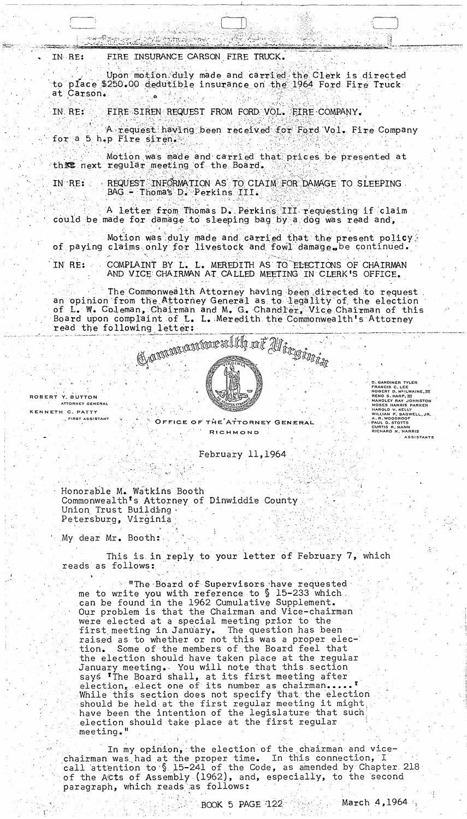FIRE INSURANCE CARSON FIRE TRUCK. IN RE:

Upon motion duly made and carried the Clerk is directed to place \$250.00 dedutible insurance on the 1964 Ford Fire Truck at Carson.

FIRE SIREN REQUEST FROM FORD VOL. FIRE COMPANY. IN RE:

A request having been received for Ford Vol. Fire Company for a 5 h.p Fire siren.

Motion was made and carried that prices be presented at this next regular meeting of the Board.

REQUEST INFORMATION AS TO CLAIM FOR DAMAGE TO SLEEPING IN RE: BAG - Thoma's D. Perkins III.

A letter from Thomas D. Perkins III requesting if claim could be made for damage to sleeping bag by a dog was read and,

Motion was duly made and carried that the present policy. of paying claims only for livestock and fowl damage, be continued.

IN RE: COMPLAINT BY L. L. MEREDITH AS TO ELECTIONS OF CHAIRMAN AND VICE CHAIRMAN AT CALLED MEETING IN CLERK'S OFFICE.

The Commonwealth Attorney having been directed to request<br>an opinion from the Attorney General as to legality of the election of L. W. Coleman, Chairman and M. G. Chandler, Vice Chairman of this Board upon complaint of L. L. Meredith the Commonwealth's Attorney read the following letter:



ROBERT Y. BUTTON ATTORNEY GENERAL KENNETH C. PATTY

FIRST ASSISTANT

OFFICE OF THE ATTORNEY GENERAL RICHMOND

February 11, 1964

Honorable M. Watkins Booth Commonwealth's Attorney of Dinwiddie County Union Trust Building Petersburg, Virginia

My dear Mr. Booth:

This is in reply to your letter of February 7, which reads as follows:

**I'll The Board of Supervisors have requested** me to write you with reference to § 15-233 which. can be found in the 1962 Cumulative Supplement. Our problem is that the Chairman and Vice-chairman were elected at a special meeting prior to the first meeting in January. The question has been raised as to whether or not this was a proper elec-Some of the members of the Board feel that tion. the election should have taken place at the regular January meeting. You will note that this section says The Board shall, at its first meeting after election, elect one of its number as chairman..... While this section does not specify that the election should be held at the first regular meeting it might have been the intention of the legislature that such election should take place at the first regular meeting."

In my opinion, the election of the chairman and vicechairman was had at the proper time. In this connection, I<br>call attention to § 15-241 of the Code, as amended by Chapter 218 of the ACts of Assembly (1962), and, especially, to the second paragraph, which reads as follows:

D. GARDINER TYLER<br>FRANCIS C. LEE<br>ROBERT D. M<sup>C</sup>ILWAINE, III<br>RENO S. HARP, III<br>MANDLEY RAY JOHNSTON<br>MOSES HARRIS PARKER<br>HAROLO V. KELLY<br>WILLIAM P. BAGWELL, JR.<br>A. R. WOODROOT<br>CURTIS R. MANN<br>RICHARD N. HARRIS<br>RICHARD N. HARR

ASSISTANTS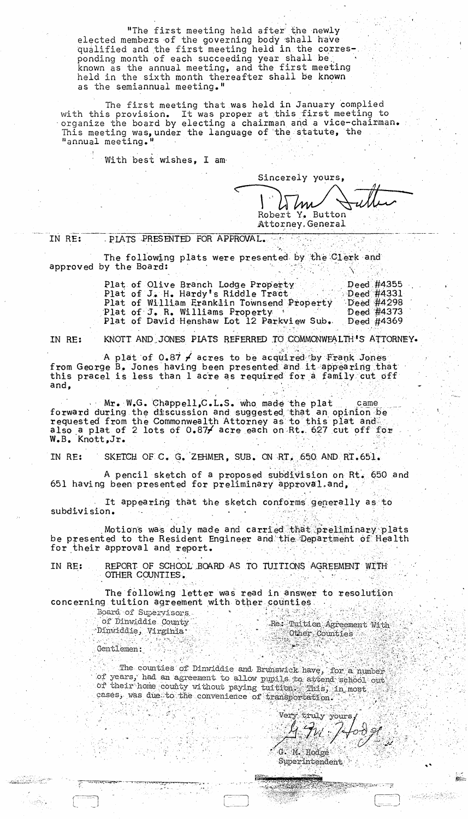"The first meeting held after the newly elected members of the governing body shall have qualified and the first meeting held in the corresponding month of each succeeding year shall be<br>known as the annual meeting, and the first meeting held in the sixth month thereafter shall be known as the semiannual meeting."

The first meeting that was held in January complied with this provision. It was proper at this first meeting to<br>organize the board by electing a chairman and a vice-chairman. This meeting was, under the language of the statute, the "annual meeting."

With best wishes, I am

Sincerely yours, Robert Y. Button

Attorney. General

IN RE: PLATS PRESENTED FOR APPROVAL.

The following plats were presented by the Clerk and approved by the Board:

| Plat of Olive Branch Lodge Property        | Deed $\#4355$     |
|--------------------------------------------|-------------------|
| Plat of J. H. Hardy's Riddle Tract         | $\sim$ Deed #4331 |
| Plat of William Eranklin Townsend Property | Deed $\#4298$     |
| Plat of J. R. Williams Property            | Deed #4373        |
| Plat of David Henshaw Lot 12 Parkview Sub. | Deed $\#4369$     |

IN RE:

KNOTT AND JONES PLATS REFERRED TO COMMONWEALTH'S ATTORNEY.

A plat of 0.87 / acres to be acquired by Frank Jones from George B. Jones having been presented and it appearing that<br>this pracel is less than 1 acre as required for a family cut off and,

Mr. W.G. Chappell, C.L.S. who made the plat came<br>forward during the discussion and suggested that an opinion be<br>requested from the Commonwealth Attorney as to this plat and<br>also a plat of 2 lots of 0.87/ acre each on Rt. 6 W.B. Knott, Jr.

IN RE: SKETCH OF C. G. ZEHMER, SUB. ON RT. 650 AND RT.651.

A pencil sketch of a proposed subdivision on Rt. 650 and 651 having been presented for preliminary approval and,

It appearing that the sketch conforms generally as to subdivision.

Motions was duly made and carried that preliminary plats be presented to the Resident Engineer and the Department of Health for their approval and report.

REPORT OF SCHOOL BOARD AS TO TUITIONS AGREEMENT WITH IN RE: OTHER COUNTIES.

The following letter was read in answer to resolution concerning tuition agreement with other counties

Board of Supervisors of Dinwiddle County Dinwiddie, Virginia<br>C

그리 이유

Re: Tuition Agreement With  $\begin{tabular}{c} \multicolumn{2}{c}{\textbf{Other} column} \end{tabular}$ 

Gentlemen:

The counties of Dinwiddie and Brunswick have, for a number of years, had an agreement to allow pupils to attend school out or their home county without paying tuition This, in most cases, was due to the convenience of transportation. 3. Page

Very truly yours G. M. Hodge

**AND MANUFACTURER** 

 $-2 - 1833366282$ 

Superintendent 46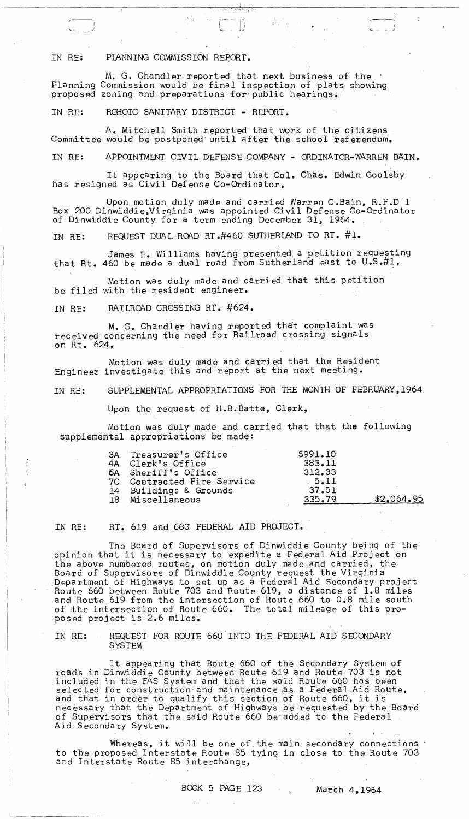IN RE: PLANNING COMMISSION REPORT.

M. G. Chandler reported that next business of the  $\pm$ Planning Commission would be final inspection of plats showing proposed zoning and preparations for public hearings.

IN RE: ROHOIC SANITARY DISTRICT - REPORT.

A. Mitchell Smith reported that work of the citizens Committee would be postponed until after the school feferendum.

IN RE: APPOINTMENT CIVIL DEFENSE COMPANY - ORDINATOR-WARREN BAIN.

.. ~ .

It appearing to the Board that Col. Chas. Edwin Goolsby has resigned as Civil Defense Co-Ordinator,

Upon motion duly made and carried Warren C.Bain, R.F.D 1 Box 200 Dinwiddie,Virginia was appointed Civil Defense Co-Ordinator of Dinwiddie County for a term ending December 31, 1964. "

IN RE: REQUEST DUAL ROAD RT .#460 SUTHERLAND TO RT. #1.

James E. Williams having presented a petition requesting that Rt. 460 be made a dual road from Sutherland east to U.S.#l,

Motion was duly made and carried that this petition be filed with the resident engineer.

IN RE: RAILROAD CROSSING RT. #624.

M. G. Chandler having reported that complaint was received concerning the need for Railroad crossing signals on Rt. 624,

Motion was duly made and carried that the Resident Engineer investigate this and report at the next meeting.

IN RE: SUPPLEMENTAL APPROPRIATIONS FOR THE MONTH OF FEBRUARY,1964

Upon the request of H.B.Batte, Clerk,

Motion was duly made and carried that that the following supplemental appropriations be made:

| 3A Treasurer's Office      | \$991.10 |            |
|----------------------------|----------|------------|
| 4A Clerk's Office          | 383.11   |            |
| <b>6A</b> Sheriff's Office | 312.33   |            |
| 7C Contracted Fire Service | .5.11    |            |
| 14 Buildings & Grounds     | 37.51    |            |
| 18 Miscellaneous           | 335.79   | \$2.064.95 |

IN RE: RT. 619 and 660 FEDERAL AID PROJECT.

The Board of Supervisors of Dinwiddie County being of the ine Board of Supervisors of Dinwiddle County Being of th<br>opinion that it is necessary to expedite a Federal Aid Project on the above numbered routes, on motion duly made and carried, the Board of Supervisors of Dinwiddie County request the Virqinia Department of Highways to set up as a Federal Aid Secondary project Route 660 between Route 703 and Route 619, a distance of 1.8 miles and Route 619 from the intersection of Route 660 to 0.8 mile south of the intersection of Route 660. The total mileage of this pro-<br>posed project is 2.6 miles.

IN RE: REQUEST FOR ROUTE 660 INTO THE FEDERAL AID SECONDARY SYSTEM

It appearing that Route 660 of the Secondary System of roads in Dinwiddie County between Route 619 and Route 703 is not included in the FAS System and that the said Route 660 has been selected for construction and maintenance as a Federal Aid Route, and that in order to qualify this section of Route 660, it is necessary that the Department of Highways be requested by the Board of Supervisors that the said Route-660 be-added to the Federal. Aid Secondary System.

Whereas, it will be one of the main secondary connections : to the proposed Interstate Route 85 tying in close to the Route 703 and Interstate Route 85 interchange,